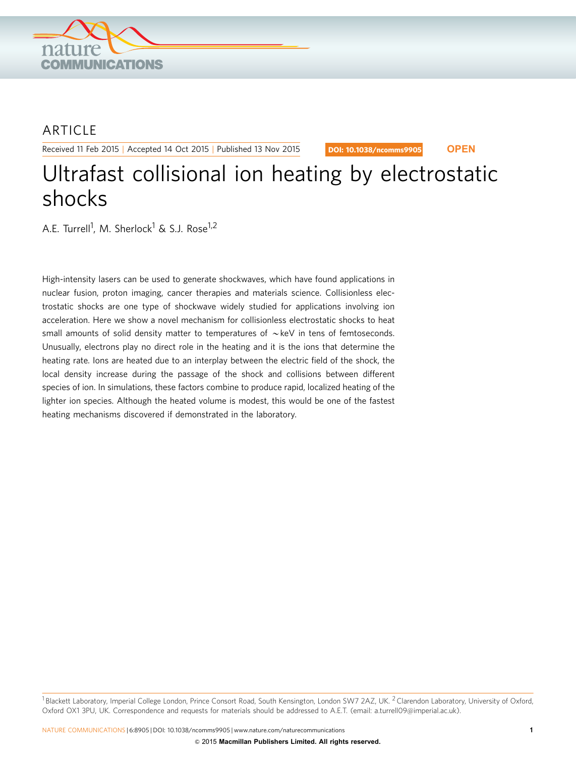

# **ARTICLE**

Received 11 Feb 2015 | Accepted 14 Oct 2015 | Published 13 Nov 2015

DOI: 10.1038/ncomms9905 **OPEN**

# Ultrafast collisional ion heating by electrostatic shocks

A.E. Turrell<sup>1</sup>, M. Sherlock<sup>1</sup> & S.J. Rose<sup>1,2</sup>

High-intensity lasers can be used to generate shockwaves, which have found applications in nuclear fusion, proton imaging, cancer therapies and materials science. Collisionless electrostatic shocks are one type of shockwave widely studied for applications involving ion acceleration. Here we show a novel mechanism for collisionless electrostatic shocks to heat small amounts of solid density matter to temperatures of  $\sim$  keV in tens of femtoseconds. Unusually, electrons play no direct role in the heating and it is the ions that determine the heating rate. Ions are heated due to an interplay between the electric field of the shock, the local density increase during the passage of the shock and collisions between different species of ion. In simulations, these factors combine to produce rapid, localized heating of the lighter ion species. Although the heated volume is modest, this would be one of the fastest heating mechanisms discovered if demonstrated in the laboratory.

<sup>1</sup> Blackett Laboratory, Imperial College London, Prince Consort Road, South Kensington, London SW7 2AZ, UK. <sup>2</sup> Clarendon Laboratory, University of Oxford, Oxford OX1 3PU, UK. Correspondence and requests for materials should be addressed to A.E.T. (email: [a.turrell09@imperial.ac.uk](mailto:a.turrell09@imperial.ac.uk)).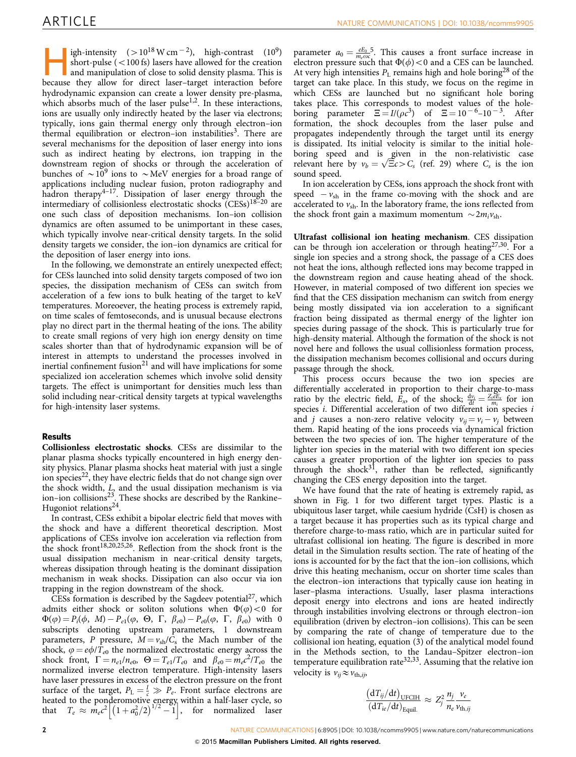igh-intensity ( $> 10^{18}$  W cm<sup>-2</sup>), high-contrast (10<sup>9</sup>)<br>short-pulse (<100 fs) lasers have allowed for the creation<br>and manipulation of close to solid density plasma. This is<br>because they allow for direct laser-target i short-pulse  $(<100 \text{ fs})$  lasers have allowed for the creation and manipulation of close to solid density plasma. This is because they allow for direct laser–target interaction before hydrodynamic expansion can create a lower density pre-plasma, which absorbs much of the laser pulse<sup>[1,2](#page-5-0)</sup>. In these interactions, ions are usually only indirectly heated by the laser via electrons; typically, ions gain thermal energy only through electron–ion thermal equilibration or electron–ion instabilities<sup>[3](#page-5-0)</sup>. There are several mechanisms for the deposition of laser energy into ions such as indirect heating by electrons, ion trapping in the downstream region of shocks or through the acceleration of bunches of  $\sim 10^9$  ions to  $\sim$  MeV energies for a broad range of applications including nuclear fusion, proton radiography and hadron therapy<sup>4-17</sup>. Dissipation of laser energy through the intermediary of collisionless electrostatic shocks (CESs)[18–20](#page-5-0) are one such class of deposition mechanisms. Ion–ion collision dynamics are often assumed to be unimportant in these cases, which typically involve near-critical density targets. In the solid density targets we consider, the ion–ion dynamics are critical for the deposition of laser energy into ions.

In the following, we demonstrate an entirely unexpected effect; for CESs launched into solid density targets composed of two ion species, the dissipation mechanism of CESs can switch from acceleration of a few ions to bulk heating of the target to keV temperatures. Moreoever, the heating process is extremely rapid, on time scales of femtoseconds, and is unusual because electrons play no direct part in the thermal heating of the ions. The ability to create small regions of very high ion energy density on time scales shorter than that of hydrodynamic expansion will be of interest in attempts to understand the processes involved in inertial confinement fusion<sup>21</sup> and will have implications for some specialized ion acceleration schemes which involve solid density targets. The effect is unimportant for densities much less than solid including near-critical density targets at typical wavelengths for high-intensity laser systems.

# Results

Collisionless electrostatic shocks. CESs are dissimilar to the planar plasma shocks typically encountered in high energy density physics. Planar plasma shocks heat material with just a single ion species<sup>22</sup>, they have electric fields that do not change sign over the shock width, L, and the usual dissipation mechanism is via ion–ion collisions $^{23}$  $^{23}$  $^{23}$ . These shocks are described by the Rankine– Hugoniot relations<sup>24</sup>.

In contrast, CESs exhibit a bipolar electric field that moves with the shock and have a different theoretical description. Most applications of CESs involve ion acceleration via reflection from the shock front<sup>18,20,25,26</sup>. Reflection from the shock front is the usual dissipation mechanism in near-critical density targets, whereas dissipation through heating is the dominant dissipation mechanism in weak shocks. Dissipation can also occur via ion trapping in the region downstream of the shock.

CESs formation is described by the Sagdeev potential<sup>27</sup>, which admits either shock or soliton solutions when  $\Phi(\varphi) < 0$  for  $\Phi(\varphi) = P_i(\phi, M) - P_{e1}(\varphi, \Theta, \Gamma, \beta_{e0}) - P_{e0}(\varphi, \Gamma, \beta_{e0})$  with 0 subscripts denoting upstream parameters, 1 downstream parameters, P pressure,  $M = v_{sh}/\bar{C}_s$  the Mach number of the shock,  $\varphi = e\phi/T_{e0}$  the normalized electrostatic energy across the shock front,  $\Gamma = n_{e1}/n_{e0}$ ,  $\Theta = T_{e1}/T_{e0}$  and  $\beta_{e0} = m_e c^2/T_{e0}$  the normalized inverse electron temperature. High-intensity lasers have laser pressures in excess of the electron pressure on the front surface of the target,  $P_L = \frac{I}{c} \gg P_e$ . Front surface electrons are heated to the ponderomotive energy within a half-laser cycle, so heated to the ponderomotive energy within a half-laser cycle, so<br>that  $T_e \approx m_e c^2 \left[ (1 + a_0^2/2)^{1/2} - 1 \right]$ , for normalized laser

parameter  $a_0 = \frac{eE_0}{m_e \omega c_1}$ . This causes a front surface increase in electron pressure such that  $\Phi(\phi) < 0$  and a CES can be launched. At very high intensities  $P<sub>L</sub>$  remains high and hole boring<sup>[28](#page-6-0)</sup> of the target can take place. In this study, we focus on the regime in which CESs are launched but no significant hole boring takes place. This corresponds to modest values of the holeboring parameter  $\Xi = I/(\rho c^3)$  of  $\Xi = 10^{-6} - 10^{-3}$ . After formation, the shock decouples from the laser pulse and propagates independently through the target until its energy is dissipated. Its initial velocity is similar to the initial holeboring speed and is given in the non-relativistic case boring speed and is given in the non-relativistic case<br>relevant here by  $v_b = \sqrt{\Xi} c > C_s$  [\(ref. 29\)](#page-6-0) where  $C_s$  is the ion sound speed.

In ion acceleration by CESs, ions approach the shock front with speed  $-v_{\rm sh}$  in the frame co-moving with the shock and are accelerated to  $v_{\rm sh}$ . In the laboratory frame, the ions reflected from the shock front gain a maximum momentum  $\sim 2m_i v_{\rm sh}$ .

Ultrafast collisional ion heating mechanism. CES dissipation can be through ion acceleration or through heating<sup>[27,30](#page-6-0)</sup>. For a single ion species and a strong shock, the passage of a CES does not heat the ions, although reflected ions may become trapped in the downstream region and cause heating ahead of the shock. However, in material composed of two different ion species we find that the CES dissipation mechanism can switch from energy being mostly dissipated via ion acceleration to a significant fraction being dissipated as thermal energy of the lighter ion species during passage of the shock. This is particularly true for high-density material. Although the formation of the shock is not novel here and follows the usual collisionless formation process, the dissipation mechanism becomes collisional and occurs during passage through the shock.

This process occurs because the two ion species are differentially accelerated in proportion to their charge-to-mass ratio by the electric field,  $E_x$ , of the shock;  $\frac{dv_i}{dt} = \frac{Z_i e E_x}{m_i}$  for ion species *i*. Differential acceleration of two different ion species *i* and *j* causes a non-zero relative velocity  $v_{ij} = v_i - v_j$  between them. Rapid heating of the ions proceeds via dynamical friction between the two species of ion. The higher temperature of the lighter ion species in the material with two different ion species causes a greater proportion of the lighter ion species to pass through the shock $31$ , rather than be reflected, significantly changing the CES energy deposition into the target.

We have found that the rate of heating is extremely rapid, as shown in [Fig. 1](#page-2-0) for two different target types. Plastic is a ubiquitous laser target, while caesium hydride (CsH) is chosen as a target because it has properties such as its typical charge and therefore charge-to-mass ratio, which are in particular suited for ultrafast collisional ion heating. The figure is described in more detail in the Simulation results section. The rate of heating of the ions is accounted for by the fact that the ion–ion collisions, which drive this heating mechanism, occur on shorter time scales than the electron–ion interactions that typically cause ion heating in laser–plasma interactions. Usually, laser plasma interactions deposit energy into electrons and ions are heated indirectly through instabilities involving electrons or through electron–ion equilibration (driven by electron–ion collisions). This can be seen by comparing the rate of change of temperature due to the collisional ion heating, equation (3) of the analytical model found in the Methods section, to the Landau–Spitzer electron–ion temperature equilibration rate<sup>[32,33](#page-6-0)</sup>. Assuming that the relative ion velocity is  $v_{ij} \approx v_{\text{th},ij}$ ,

$$
\frac{\left(\mathrm{d}T_{ij}/\mathrm{d}t\right)_{\mathrm{UECHH}}}{\left(\mathrm{d}T_{ie}/\mathrm{d}t\right)_{\mathrm{Equil.}}}\approx Z_j^2 \frac{n_j}{n_e} \frac{v_e}{v_{\mathrm{th},ij}}
$$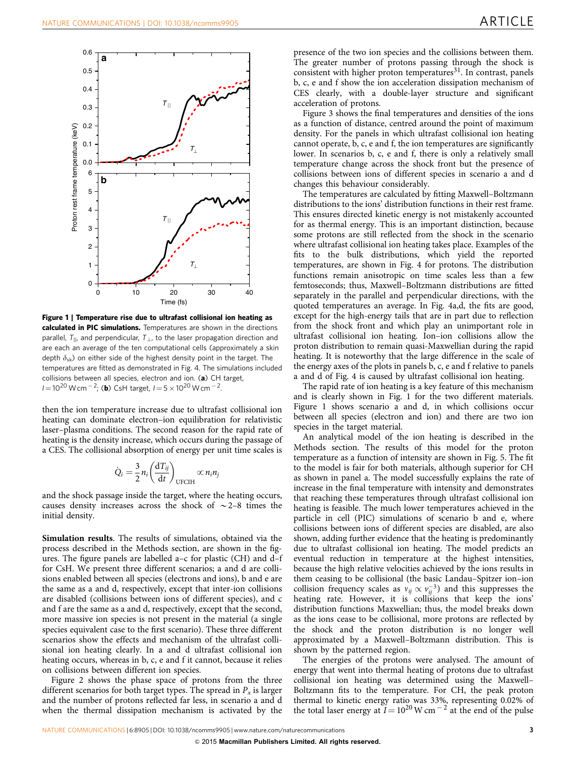<span id="page-2-0"></span>

Figure 1 | Temperature rise due to ultrafast collisional ion heating as calculated in PIC simulations. Temperatures are shown in the directions parallel,  $T_{\text{II}}$ , and perpendicular,  $T_{\text{II}}$ , to the laser propagation direction and are each an average of the ten computational cells (approximately a skin depth  $\delta_{sk}$ ) on either side of the highest density point in the target. The temperatures are fitted as demonstrated in [Fig. 4.](#page-4-0) The simulations included collisions between all species, electron and ion. (a) CH target,  $I$   $=$  10<sup>20</sup> W cm  $^{-2}$ ; (**b**) CsH target, I  $=$  5  $\times$  10<sup>20</sup> W cm  $^{-2}$ .

then the ion temperature increase due to ultrafast collisional ion heating can dominate electron–ion equilibration for relativistic laser–plasma conditions. The second reason for the rapid rate of heating is the density increase, which occurs during the passage of a CES. The collisional absorption of energy per unit time scales is

$$
\dot{Q}_i = \frac{3}{2} n_i \left(\frac{\mathrm{d}T_{ij}}{\mathrm{d}t}\right)_{\mathrm{UFCIH}} \propto n_i n_j
$$

and the shock passage inside the target, where the heating occurs, causes density increases across the shock of  $\sim$  2–8 times the initial density.

Simulation results. The results of simulations, obtained via the process described in the Methods section, are shown in the figures. The figure panels are labelled a–c for plastic (CH) and d–f for CsH. We present three different scenarios; a and d are collisions enabled between all species (electrons and ions), b and e are the same as a and d, respectively, except that inter-ion collisions are disabled (collisions between ions of different species), and c and f are the same as a and d, respectively, except that the second, more massive ion species is not present in the material (a single species equivalent case to the first scenario). These three different scenarios show the effects and mechanism of the ultrafast collisional ion heating clearly. In a and d ultrafast collisional ion heating occurs, whereas in b, c, e and f it cannot, because it relies on collisions between different ion species.

[Figure 2](#page-3-0) shows the phase space of protons from the three different scenarios for both target types. The spread in  $P_x$  is larger and the number of protons reflected far less, in scenario a and d when the thermal dissipation mechanism is activated by the presence of the two ion species and the collisions between them. The greater number of protons passing through the shock is consistent with higher proton temperatures $^{31}$  $^{31}$  $^{31}$ . In contrast, panels b, c, e and f show the ion acceleration dissipation mechanism of CES clearly, with a double-layer structure and significant acceleration of protons.

[Figure 3](#page-3-0) shows the final temperatures and densities of the ions as a function of distance, centred around the point of maximum density. For the panels in which ultrafast collisional ion heating cannot operate, b, c, e and f, the ion temperatures are significantly lower. In scenarios b, c, e and f, there is only a relatively small temperature change across the shock front but the presence of collisions between ions of different species in scenario a and d changes this behaviour considerably.

The temperatures are calculated by fitting Maxwell–Boltzmann distributions to the ions' distribution functions in their rest frame. This ensures directed kinetic energy is not mistakenly accounted for as thermal energy. This is an important distinction, because some protons are still reflected from the shock in the scenario where ultrafast collisional ion heating takes place. Examples of the fits to the bulk distributions, which yield the reported temperatures, are shown in [Fig. 4](#page-4-0) for protons. The distribution functions remain anisotropic on time scales less than a few femtoseconds; thus, Maxwell–Boltzmann distributions are fitted separately in the parallel and perpendicular directions, with the quoted temperatures an average. In [Fig. 4a,d](#page-4-0), the fits are good, except for the high-energy tails that are in part due to reflection from the shock front and which play an unimportant role in ultrafast collisional ion heating. Ion–ion collisions allow the proton distribution to remain quasi-Maxwellian during the rapid heating. It is noteworthy that the large difference in the scale of the energy axes of the plots in panels b, c, e and f relative to panels a and d of [Fig. 4](#page-4-0) is caused by ultrafast collisional ion heating.

The rapid rate of ion heating is a key feature of this mechanism and is clearly shown in Fig. 1 for the two different materials. Figure 1 shows scenario a and d, in which collisions occur between all species (electron and ion) and there are two ion species in the target material.

An analytical model of the ion heating is described in the Methods section. The results of this model for the proton temperature as a function of intensity are shown in [Fig. 5.](#page-4-0) The fit to the model is fair for both materials, although superior for CH as shown in panel a. The model successfully explains the rate of increase in the final temperature with intensity and demonstrates that reaching these temperatures through ultrafast collisional ion heating is feasible. The much lower temperatures achieved in the particle in cell (PIC) simulations of scenario b and e, where collisions between ions of different species are disabled, are also shown, adding further evidence that the heating is predominantly due to ultrafast collisional ion heating. The model predicts an eventual reduction in temperature at the highest intensities, because the high relative velocities achieved by the ions results in them ceasing to be collisional (the basic Landau–Spitzer ion–ion collision frequency scales as  $v_{ij} \propto v_{ij}^{-3}$ ) and this suppresses the heating rate. However, it is collisions that keep the ions' distribution functions Maxwellian; thus, the model breaks down as the ions cease to be collisional, more protons are reflected by the shock and the proton distribution is no longer well approximated by a Maxwell–Boltzmann distribution. This is shown by the patterned region.

The energies of the protons were analysed. The amount of energy that went into thermal heating of protons due to ultrafast collisional ion heating was determined using the Maxwell– Boltzmann fits to the temperature. For CH, the peak proton thermal to kinetic energy ratio was 33%, representing 0.02% of the total laser energy at  $I = 10^{20}$  W cm<sup>-2</sup> at the end of the pulse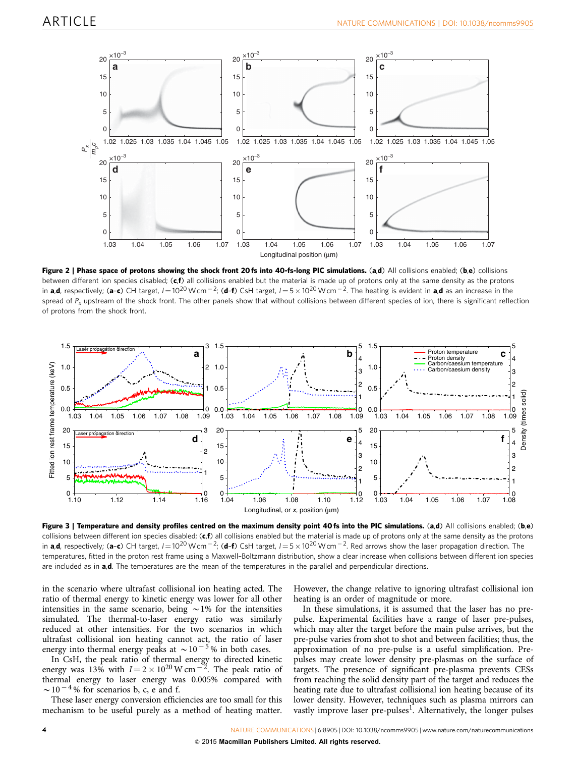<span id="page-3-0"></span>

Figure 2 | Phase space of protons showing the shock front 20 fs into 40-fs-long PIC simulations. (a,d) All collisions enabled; (b,e) collisions between different ion species disabled; (c,f) all collisions enabled but the material is made up of protons only at the same density as the protons in **a,d**, respectively; (**a-c**) CH target,  $I=10^{20}$  Wcm<sup>-2</sup>; (**d-f**) CsH target,  $I=5\times10^{20}$  Wcm<sup>-2</sup>. The heating is evident in **a,d** as an increase in the spread of  $P_x$  upstream of the shock front. The other panels show that without collisions between different species of ion, there is significant reflection of protons from the shock front.



Figure 3 | Temperature and density profiles centred on the maximum density point 40 fs into the PIC simulations. (a,d) All collisions enabled; (b,e) collisions between different ion species disabled;  $(c, f)$  all collisions enabled but the material is made up of protons only at the same density as the protons in **a,d**, respectively; (**a–c**) CH target,  $l$  =10<sup>20</sup> Wcm<sup>–2</sup>; (**d-f**) CsH target,  $l$  = 5 × 10<sup>20</sup> Wcm<sup>–2</sup>. Red arrows show the laser propagation direction. The temperatures, fitted in the proton rest frame using a Maxwell–Boltzmann distribution, show a clear increase when collisions between different ion species are included as in a,d. The temperatures are the mean of the temperatures in the parallel and perpendicular directions.

in the scenario where ultrafast collisional ion heating acted. The ratio of thermal energy to kinetic energy was lower for all other intensities in the same scenario, being  $\sim$  1% for the intensities simulated. The thermal-to-laser energy ratio was similarly reduced at other intensities. For the two scenarios in which ultrafast collisional ion heating cannot act, the ratio of laser energy into thermal energy peaks at  $\sim$  10<sup>-5</sup>% in both cases.

In CsH, the peak ratio of thermal energy to directed kinetic energy was 13% with  $I = 2 \times 10^{20}$  W cm  $^{-2}$ . The peak ratio of thermal energy to laser energy was 0.005% compared with  $\sim$  10<sup>-4</sup>% for scenarios b, c, e and f.

These laser energy conversion efficiencies are too small for this mechanism to be useful purely as a method of heating matter.

However, the change relative to ignoring ultrafast collisional ion heating is an order of magnitude or more.

In these simulations, it is assumed that the laser has no prepulse. Experimental facilities have a range of laser pre-pulses, which may alter the target before the main pulse arrives, but the pre-pulse varies from shot to shot and between facilities; thus, the approximation of no pre-pulse is a useful simplification. Prepulses may create lower density pre-plasmas on the surface of targets. The presence of significant pre-plasma prevents CESs from reaching the solid density part of the target and reduces the heating rate due to ultrafast collisional ion heating because of its lower density. However, techniques such as plasma mirrors can vastly improve laser pre-pulses<sup>1</sup>. Alternatively, the longer pulses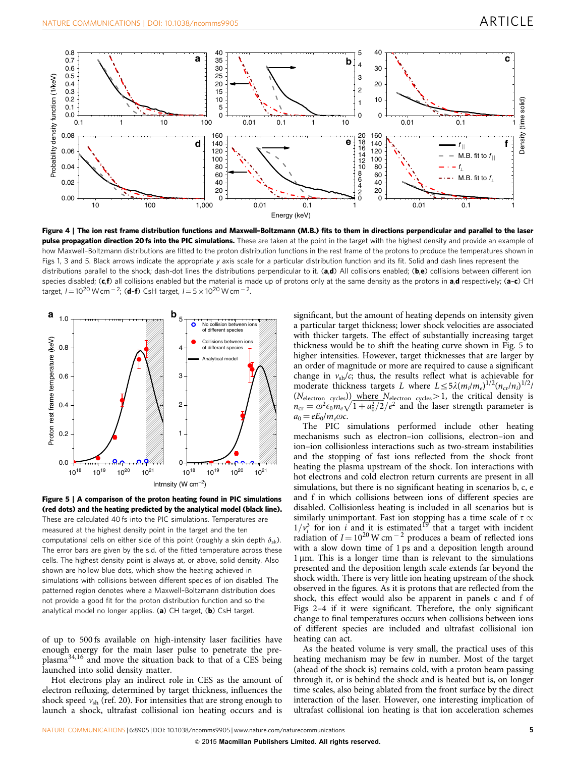<span id="page-4-0"></span>

Figure 4 | The ion rest frame distribution functions and Maxwell–Boltzmann (M.B.) fits to them in directions perpendicular and parallel to the laser pulse propagation direction 20 fs into the PIC simulations. These are taken at the point in the target with the highest density and provide an example of how Maxwell–Boltzmann distributions are fitted to the proton distribution functions in the rest frame of the protons to produce the temperatures shown in [Figs 1, 3 and 5](#page-2-0). Black arrows indicate the appropriate y axis scale for a particular distribution function and its fit. Solid and dash lines represent the distributions parallel to the shock; dash-dot lines the distributions perpendicular to it. (a,d) All collisions enabled; (b,e) collisions between different ion species disabled;  $(c, f)$  all collisions enabled but the material is made up of protons only at the same density as the protons in a,d respectively;  $(a-c)$  CH target,  $l$  = 10<sup>20</sup> W cm  $^{-2}$ ; (**d-f**) CsH target,  $l$  = 5  $\times$  10<sup>20</sup> W cm  $^{-2}$ .



Figure 5 | A comparison of the proton heating found in PIC simulations (red dots) and the heating predicted by the analytical model (black line). These are calculated 40 fs into the PIC simulations. Temperatures are measured at the highest density point in the target and the ten computational cells on either side of this point (roughly a skin depth  $\delta_{sk}$ ). The error bars are given by the s.d. of the fitted temperature across these cells. The highest density point is always at, or above, solid density. Also shown are hollow blue dots, which show the heating achieved in simulations with collisions between different species of ion disabled. The patterned region denotes where a Maxwell–Boltzmann distribution does not provide a good fit for the proton distribution function and so the analytical model no longer applies. (a) CH target, (b) CsH target.

of up to 500 fs available on high-intensity laser facilities have enough energy for the main laser pulse to penetrate the preplasma[34,16](#page-6-0) and move the situation back to that of a CES being launched into solid density matter.

Hot electrons play an indirect role in CES as the amount of electron refluxing, determined by target thickness, influences the shock speed  $v_{\rm sh}$  ([ref. 20\)](#page-5-0). For intensities that are strong enough to launch a shock, ultrafast collisional ion heating occurs and is

significant, but the amount of heating depends on intensity given a particular target thickness; lower shock velocities are associated with thicker targets. The effect of substantially increasing target thickness would be to shift the heating curve shown in Fig. 5 to higher intensities. However, target thicknesses that are larger by an order of magnitude or more are required to cause a significant change in  $v_{\rm sh}/c$ ; thus, the results reflect what is achievable for moderate thickness targets L where  $L \leq 5\lambda (m_i/m_e)^{1/2}(n_{cr}/n_i)^{1/2}/$  $(N_{\text{electron cycle}})$ ) where  $N_{\text{electron cycles}} > 1$ , the critical density is (*Nelectron cycles)* where *Nelectron cycles* > 1, the critical derisity is  $n_{cr} = \omega^2 \epsilon_0 m_e \sqrt{1 + a_0^2/2}/e^2$  and the laser strength parameter is  $a_0 = eE_0/m_e\omega c$ .

The PIC simulations performed include other heating mechanisms such as electron–ion collisions, electron–ion and ion–ion collisionless interactions such as two-stream instabilities and the stopping of fast ions reflected from the shock front heating the plasma upstream of the shock. Ion interactions with hot electrons and cold electron return currents are present in all simulations, but there is no significant heating in scenarios b, c, e and f in which collisions between ions of different species are disabled. Collisionless heating is included in all scenarios but is similarly unimportant. Fast ion stopping has a time scale of  $\tau \propto$  $1/v_i^3$  for ion i and it is estimated<sup>[19](#page-5-0)</sup> that a target with incident radiation of  $I = 10^{20}$  W cm<sup>-2</sup> produces a beam of reflected ions with a slow down time of 1 ps and a deposition length around  $1 \mu m$ . This is a longer time than is relevant to the simulations presented and the deposition length scale extends far beyond the shock width. There is very little ion heating upstream of the shock observed in the figures. As it is protons that are reflected from the shock, this effect would also be apparent in panels c and f of [Figs 2–4](#page-3-0) if it were significant. Therefore, the only significant change to final temperatures occurs when collisions between ions of different species are included and ultrafast collisional ion heating can act.

As the heated volume is very small, the practical uses of this heating mechanism may be few in number. Most of the target (ahead of the shock is) remains cold, with a proton beam passing through it, or is behind the shock and is heated but is, on longer time scales, also being ablated from the front surface by the direct interaction of the laser. However, one interesting implication of ultrafast collisional ion heating is that ion acceleration schemes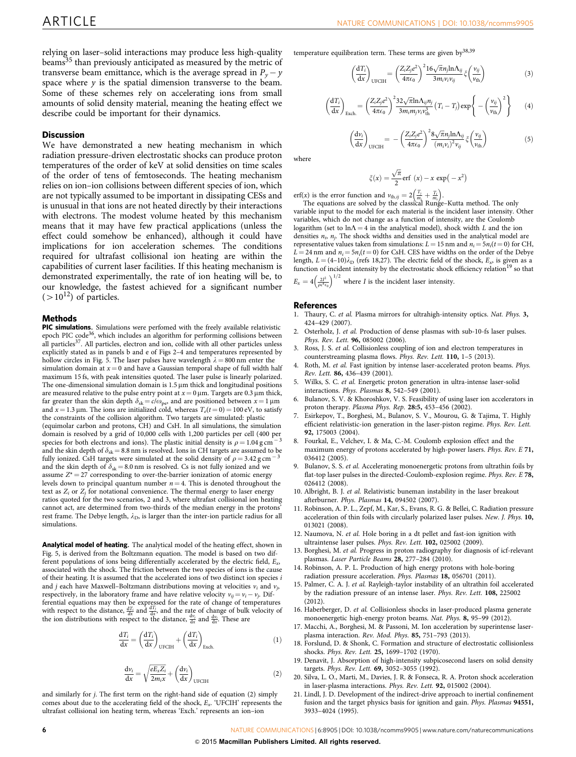<span id="page-5-0"></span>relying on laser–solid interactions may produce less high-quality beams<sup>[35](#page-6-0)</sup> than previously anticipated as measured by the metric of transverse beam emittance, which is the average spread in  $P_y\!-\!y$ space where  $y$  is the spatial dimension transverse to the beam. Some of these schemes rely on accelerating ions from small amounts of solid density material, meaning the heating effect we describe could be important for their dynamics.

# **Discussion**

We have demonstrated a new heating mechanism in which radiation pressure-driven electrostatic shocks can produce proton temperatures of the order of keV at solid densities on time scales of the order of tens of femtoseconds. The heating mechanism relies on ion–ion collisions between different species of ion, which are not typically assumed to be important in dissipating CESs and is unusual in that ions are not heated directly by their interactions with electrons. The modest volume heated by this mechanism means that it may have few practical applications (unless the effect could somehow be enhanced), although it could have implications for ion acceleration schemes. The conditions required for ultrafast collisional ion heating are within the capabilities of current laser facilities. If this heating mechanism is demonstrated experimentally, the rate of ion heating will be, to our knowledge, the fastest achieved for a significant number  $(>10^{12})$  of particles.

#### Methods

PIC simulations. Simulations were perfomed with the freely available relativistic epoch PIC code<sup>[36](#page-6-0)</sup>, which includes an algorithm for performing collisions between all particles $37$ . All particles, electron and ion, collide with all other particles unless explicitly stated as in panels b and e of [Figs 2–4](#page-3-0) and temperatures represented by hollow circles in [Fig. 5.](#page-4-0) The laser pulses have wavelength  $\lambda = 800$  nm enter the simulation domain at  $x = 0$  and have a Gaussian temporal shape of full width half maximum 15 fs, with peak intensities quoted. The laser pulse is linearly polarized. The one-dimensional simulation domain is  $1.5 \mu m$  thick and longitudinal positions are measured relative to the pulse entry point at  $x = 0 \mu$ m. Targets are 0.3  $\mu$ m thick, far greater than the skin depth  $\delta_{sk} = c/\omega_{pe}$ , and are positioned between  $x = 1 \mu m$ and  $x = 1.3$  um. The ions are initialized cold, whereas  $T_a(t = 0) = 100$  eV, to satisfy the constraints of the collision algorithm. Two targets are simulated: plastic (equimolar carbon and protons, CH) and CsH. In all simulations, the simulation domain is resolved by a grid of 10,000 cells with 1,200 particles per cell (400 per species for both electrons and ions). The plastic initial density is  $\rho = 1.04$  g cm<sup>-3</sup> and the skin depth of  $\delta_{sk} = 8.8$  nm is resolved. Ions in CH targets are assumed to be fully ionized. CsH targets were simulated at the solid density of  $\rho = 3.42$  g cm 3 and the skin depth of  $\delta_{sk} = 8.0$  nm is resolved. Cs is not fully ionized and we assume  $Z^* = 27$  corresponding to over-the-barrier ionization of atomic energy levels down to principal quantum number  $n = 4$ . This is denoted throughout the text as  $Z_i$  or  $Z_j$  for notational convenience. The thermal energy to laser energy ratios quoted for the two scenarios, 2 and 3, where ultrafast collisional ion heating cannot act, are determined from two-thirds of the median energy in the protons' rest frame. The Debye length,  $\lambda_D$ , is larger than the inter-ion particle radius for all simulations.

Analytical model of heating. The analytical model of the heating effect, shown in [Fig. 5,](#page-4-0) is derived from the Boltzmann equation. The model is based on two different populations of ions being differentially accelerated by the electric field,  $E_x$ , associated with the shock. The friction between the two species of ions is the cause of their heating. It is assumed that the accelerated ions of two distinct ion species i and j each have Maxwell–Boltzmann distributions moving at velocities  $v_i$  and  $v_j$ , respectively, in the laboratory frame and have relative velocity  $v_{ij} = v_i - v_j$ . Differential equations may then be expressed for the rate of change of temperatures<br>with respect to the distance,  $\frac{dT_i}{dx}$  and  $\frac{dT_j}{dx}$ , and the rate of change of bulk velocity of<br>the ion distributions with respect to

$$
\frac{dT_i}{dx} = \left(\frac{dT_i}{dx}\right)_{UFCIH} + \left(\frac{dT_i}{dx}\right)_{Exch.}
$$
\n(1)

$$
\frac{dv_i}{dx} = \sqrt{\frac{eE_x Z_i}{2m_i x}} + \left(\frac{dv_i}{dx}\right)_{\text{UFCH}} \tag{2}
$$

and similarly for *i*. The first term on the right-hand side of equation  $(2)$  simply comes about due to the accelerating field of the shock,  $E<sub>x</sub>$ . 'UFCIH' represents the ultrafast collisional ion heating term, whereas 'Exch.' represents an ion–ion

temperature equilibration term. These terms are given by $38,39$ 

$$
\left(\frac{\mathrm{d}T_i}{\mathrm{d}x}\right)_{\mathrm{UECHI}} = \left(\frac{Z_i Z_j e^2}{4\pi\epsilon_0}\right)^2 \frac{16\sqrt{\pi}n_j \ln \Lambda_{ij}}{3m_i v_i v_{ij}} \zeta \left(\frac{v_{ij}}{v_{\mathrm{th}}}\right) \tag{3}
$$

$$
\left(\frac{\mathrm{d}T_i}{\mathrm{d}x}\right)_{\text{Exch.}} = \left(\frac{Z_i Z_j e^2}{4\pi\epsilon_0}\right)^2 \frac{32\sqrt{\pi} \ln \Lambda_{ij} n_j}{3m_i m_j v_i v_{\text{th}}^3} (T_i - T_j) \exp\left\{-\left(\frac{v_{ij}}{v_{\text{th}}}\right)^2\right\} \tag{4}
$$

$$
\left(\frac{\mathrm{d}v_i}{\mathrm{d}x}\right)_{\mathrm{UECH}} = -\left(\frac{Z_i Z_j e^2}{4\pi\epsilon_0}\right)^2 \frac{8\sqrt{\pi}n_j \ln \Lambda_{ij}}{\left(m_i v_i\right)^2 v_{ij}} \zeta \left(\frac{v_{ij}}{v_{\mathrm{th}}}\right) \tag{5}
$$

where

$$
\zeta(x) = \frac{\sqrt{\pi}}{2} \text{erf } (x) - x \, \exp(-x^2)
$$

erf(x) is the error function and  $v_{th,ij} = 2\left(\frac{T_j}{m_i} + \frac{T_i}{m_i}\right)$ .

The equations are solved by the classical Runge–Kutta method. The only variable input to the model for each material is the incident laser intensity. Other variables, which do not change as a function of intensity, are the Coulomb logarithm (set to  $\ln \Lambda = 4$  in the analytical model), shock width L and the ion densities  $n_i$ ,  $n_j$ . The shock widths and densities used in the analytical model are representative values taken from simulations:  $L = 15$  nm and  $n_i = 5n_i(t = 0)$  for CH,  $L = 24$  nm and  $n_i = 5n_i(t = 0)$  for CsH. CES have widths on the order of the Debye length,  $L = (4-10)\lambda_D$  (refs 18,27). The electric field of the shock,  $E_x$ , is given as a function of incident intensity by the electrostatic shock efficiency relation<sup>19</sup> so that  $(2^{2} \lambda^{1/2})$ 

 $E_x=4\left(\frac{2I^2}{\rho c^4\epsilon_0}\right)$ where  $I$  is the incident laser intensity.

#### **References**

- 1. Thaury, C. et al. Plasma mirrors for ultrahigh-intensity optics. Nat. Phys. 3, 424–429 (2007).
- 2. Osterholz, J. et al. Production of dense plasmas with sub-10-fs laser pulses. Phys. Rev. Lett. 96, 085002 (2006).
- 3. Ross, J. S. et al. Collisionless coupling of ion and electron temperatures in counterstreaming plasma flows. Phys. Rev. Lett. 110, 1-5 (2013).
- Roth, M. et al. Fast ignition by intense laser-accelerated proton beams. Phys. Rev. Lett. 86, 436-439 (2001).
- 5. Wilks, S. C. et al. Energetic proton generation in ultra-intense laser-solid interactions. Phys. Plasmas 8, 542–549 (2001).
- Bulanov, S. V. & Khoroshkov, V. S. Feasibility of using laser ion accelerators in proton therapy. Plasma Phys. Rep. 28:5, 453–456 (2002).
- 7. Esirkepov, T., Borghesi, M., Bulanov, S. V., Mourou, G. & Tajima, T. Highly efficient relativistic-ion generation in the laser-piston regime. Phys. Rev. Lett. 92, 175003 (2004).
- 8. Fourkal, E., Velchev, I. & Ma, C.-M. Coulomb explosion effect and the maximum energy of protons accelerated by high-power lasers. Phys. Rev. E 71, 036412 (2005).
- 9. Bulanov, S. S. et al. Accelerating monoenergetic protons from ultrathin foils by flat-top laser pulses in the directed-Coulomb-explosion regime. Phys. Rev. E 78, 026412 (2008).
- 10. Albright, B. J. et al. Relativistic buneman instability in the laser breakout afterburner. Phys. Plasmas 14, 094502 (2007).
- 11. Robinson, A. P. L., Zepf, M., Kar, S., Evans, R. G. & Bellei, C. Radiation pressure acceleration of thin foils with circularly polarized laser pulses. New. J. Phys. 10, 013021 (2008).
- 12. Naumova, N. et al. Hole boring in a dt pellet and fast-ion ignition with ultraintense laser pulses. Phys. Rev. Lett. 102, 025002 (2009).
- 13. Borghesi, M. et al. Progress in proton radiography for diagnosis of icf-relevant plasmas. Laser Particle Beams 28, 277–284 (2010).
- 14. Robinson, A. P. L. Production of high energy protons with hole-boring radiation pressure acceleration. Phys. Plasmas 18, 056701 (2011).
- 15. Palmer, C. A. J. et al. Rayleigh-taylor instability of an ultrathin foil accelerated by the radiation pressure of an intense laser. Phys. Rev. Lett. 108, 225002 (2012).
- 16. Haberberger, D. et al. Collisionless shocks in laser-produced plasma generate monoenergetic high-energy proton beams. Nat. Phys. 8, 95–99 (2012).
- 17. Macchi, A., Borghesi, M. & Passoni, M. Ion acceleration by superintense laserplasma interaction. Rev. Mod. Phys. 85, 751–793 (2013).
- 18. Forslund, D. & Shonk, C. Formation and structure of electrostatic collisionless shocks. Phys. Rev. Lett. 25, 1699–1702 (1970).
- 19. Denavit, J. Absorption of high-intensity subpicosecond lasers on solid density targets. Phys. Rev. Lett. 69, 3052–3055 (1992).
- 20. Silva, L. O., Marti, M., Davies, J. R. & Fonseca, R. A. Proton shock acceleration in laser-plasma interactions. Phys. Rev. Lett. 92, 015002 (2004).
- 21. Lindl, J. D. Development of the indirect-drive approach to inertial confinement fusion and the target physics basis for ignition and gain. Phys. Plasmas 94551, 3933–4024 (1995).